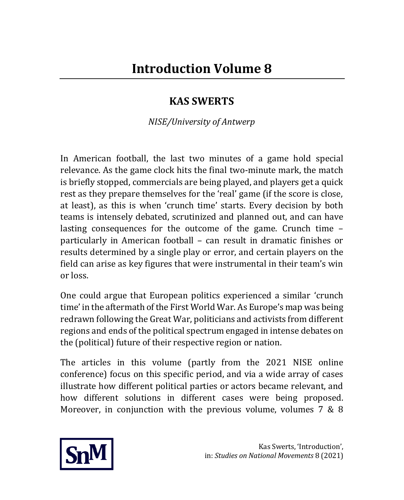## **KAS SWERTS**

*NISE/University of Antwerp*

In American football, the last two minutes of a game hold special relevance. As the game clock hits the final two-minute mark, the match is briefly stopped, commercials are being played, and players get a quick rest as they prepare themselves for the 'real' game (if the score is close, at least), as this is when 'crunch time' starts. Every decision by both teams is intensely debated, scrutinized and planned out, and can have lasting consequences for the outcome of the game. Crunch time – particularly in American football – can result in dramatic finishes or results determined by a single play or error, and certain players on the field can arise as key figures that were instrumental in their team's win or loss.

One could argue that European politics experienced a similar 'crunch time' in the aftermath of the First World War. As Europe's map was being redrawn following the Great War, politicians and activists from different regions and ends of the political spectrum engaged in intense debates on the (political) future of their respective region or nation.

The articles in this volume (partly from the 2021 NISE online conference) focus on this specific period, and via a wide array of cases illustrate how different political parties or actors became relevant, and how different solutions in different cases were being proposed. Moreover, in conjunction with the previous volume, volumes 7 & 8